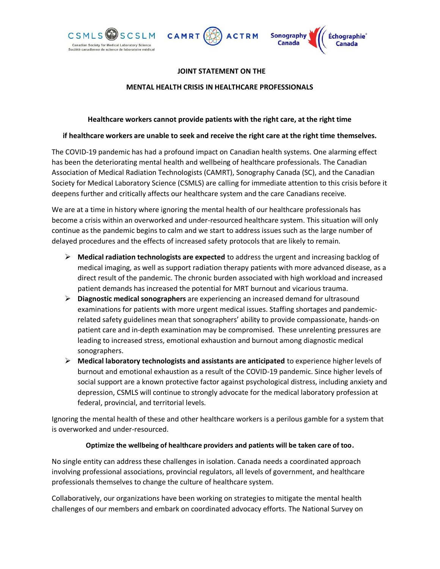



# **JOINT STATEMENT ON THE**

#### **MENTAL HEALTH CRISIS IN HEALTHCARE PROFESSIONALS**

### **Healthcare workers cannot provide patients with the right care, at the right time**

### **if healthcare workers are unable to seek and receive the right care at the right time themselves.**

The COVID-19 pandemic has had a profound impact on Canadian health systems. One alarming effect has been the deteriorating mental health and wellbeing of healthcare professionals. The Canadian Association of Medical Radiation Technologists (CAMRT), Sonography Canada (SC), and the Canadian Society for Medical Laboratory Science (CSMLS) are calling for immediate attention to this crisis before it deepens further and critically affects our healthcare system and the care Canadians receive.

We are at a time in history where ignoring the mental health of our healthcare professionals has become a crisis within an overworked and under-resourced healthcare system. This situation will only continue as the pandemic begins to calm and we start to address issues such as the large number of delayed procedures and the effects of increased safety protocols that are likely to remain.

- ➢ **Medical radiation technologists are expected** to address the urgent and increasing backlog of medical imaging, as well as support radiation therapy patients with more advanced disease, as a direct result of the pandemic. The chronic burden associated with high workload and increased patient demands has increased the potential for MRT burnout and vicarious trauma.
- ➢ **Diagnostic medical sonographers** are experiencing an increased demand for ultrasound examinations for patients with more urgent medical issues. Staffing shortages and pandemicrelated safety guidelines mean that sonographers' ability to provide compassionate, hands-on patient care and in-depth examination may be compromised. These unrelenting pressures are leading to increased stress, emotional exhaustion and burnout among diagnostic medical sonographers.
- ➢ **Medical laboratory technologists and assistants are anticipated** to experience higher levels of burnout and emotional exhaustion as a result of the COVID-19 pandemic. Since higher levels of social support are a known protective factor against psychological distress, including anxiety and depression, CSMLS will continue to strongly advocate for the medical laboratory profession at federal, provincial, and territorial levels.

Ignoring the mental health of these and other healthcare workers is a perilous gamble for a system that is overworked and under-resourced.

## **Optimize the wellbeing of healthcare providers and patients will be taken care of too.**

No single entity can address these challenges in isolation. Canada needs a coordinated approach involving professional associations, provincial regulators, all levels of government, and healthcare professionals themselves to change the culture of healthcare system.

Collaboratively, our organizations have been working on strategies to mitigate the mental health challenges of our members and embark on coordinated advocacy efforts. The National Survey on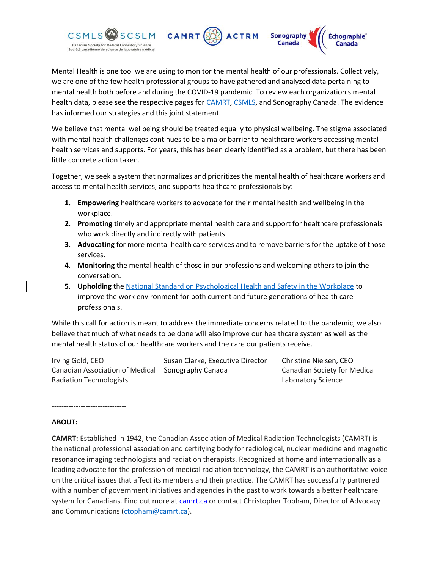

Mental Health is one tool we are using to monitor the mental health of our professionals. Collectively, we are one of the few health professional groups to have gathered and analyzed data pertaining to mental health both before and during the COVID-19 pandemic. To review each organization's mental health data, please see the respective pages for **CAMRT**, [CSMLS,](https://www.csmls.org/csmls/media/documents/Research/CSMLS-MH2021-Final-Report.pdf) and Sonography Canada. The evidence has informed our strategies and this joint statement.

We believe that mental wellbeing should be treated equally to physical wellbeing. The stigma associated with mental health challenges continues to be a major barrier to healthcare workers accessing mental health services and supports. For years, this has been clearly identified as a problem, but there has been little concrete action taken.

Together, we seek a system that normalizes and prioritizes the mental health of healthcare workers and access to mental health services, and supports healthcare professionals by:

- **1. Empowering** healthcare workers to advocate for their mental health and wellbeing in the workplace.
- **2. Promoting** timely and appropriate mental health care and support for healthcare professionals who work directly and indirectly with patients.
- **3. Advocating** for more mental health care services and to remove barriers for the uptake of those services.
- **4. Monitoring** the mental health of those in our professions and welcoming others to join the conversation.
- **5. Upholding** the [National Standard on Psychological Health and Safety in the Workplace](https://mentalhealthcommission.ca/national-standard/) to improve the work environment for both current and future generations of health care professionals.

While this call for action is meant to address the immediate concerns related to the pandemic, we also believe that much of what needs to be done will also improve our healthcare system as well as the mental health status of our healthcare workers and the care our patients receive.

| Irving Gold, CEO                                    | Susan Clarke, Executive Director | Christine Nielsen, CEO       |
|-----------------------------------------------------|----------------------------------|------------------------------|
| Canadian Association of Medical   Sonography Canada |                                  | Canadian Society for Medical |
| <b>Radiation Technologists</b>                      |                                  | <b>Laboratory Science</b>    |

## **ABOUT:**

-------------------------------

**CAMRT:** Established in 1942, the Canadian Association of Medical Radiation Technologists (CAMRT) is the national professional association and certifying body for radiological, nuclear medicine and magnetic resonance imaging technologists and radiation therapists. Recognized at home and internationally as a leading advocate for the profession of medical radiation technology, the CAMRT is an authoritative voice on the critical issues that affect its members and their practice. The CAMRT has successfully partnered with a number of government initiatives and agencies in the past to work towards a better healthcare system for Canadians. Find out more at camrt.ca or contact Christopher Topham, Director of Advocacy and Communications [\(ctopham@camrt.ca\)](mailto:ctopham@camrt.ca).